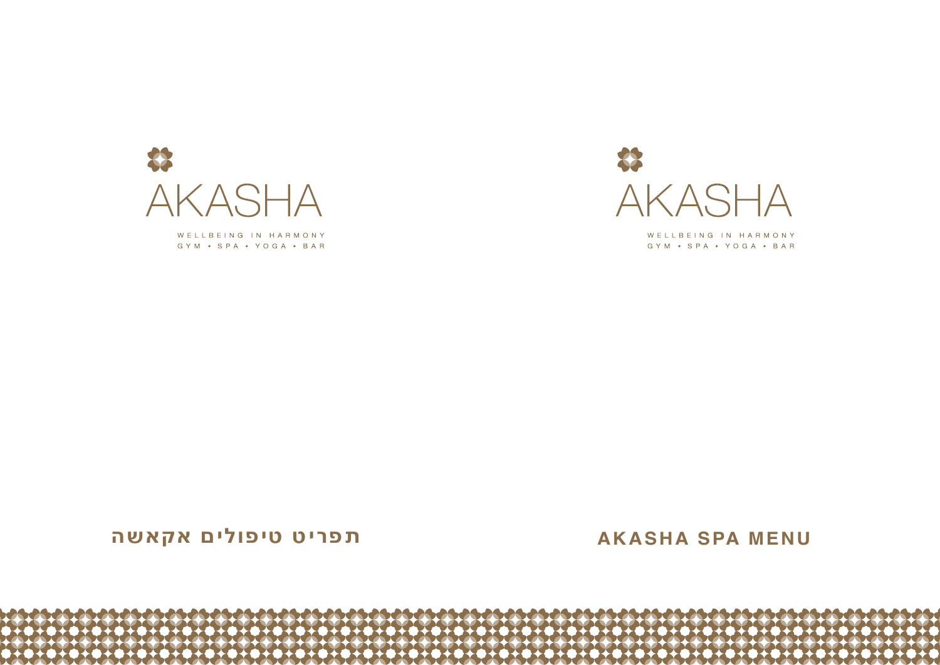

WELLBEING IN HARMONY GYM · SPA · YOGA · BAR



WELLBEING IN HARMONY GYM . SPA . YOGA . BAR

**MENU SPA AKASHA תפריט טיפולים אקאשה**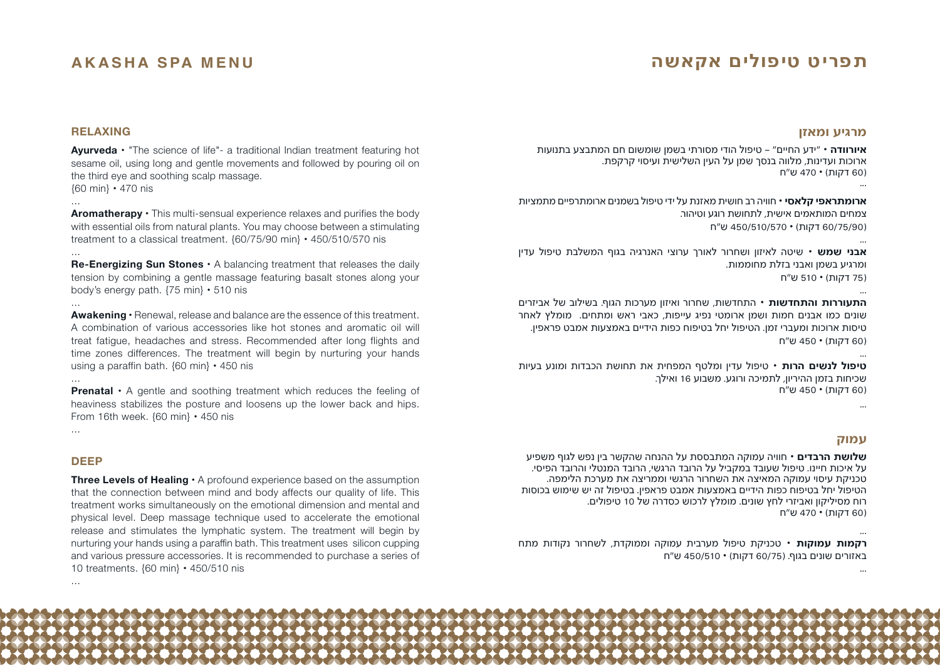# **תפריט טיפולים אקאשה**

# **AKASHA SPA MENU**

# **RELAXING**

**Ayurveda** • "The science of life"- a traditional Indian treatment featuring hot sesame oil, using long and gentle movements and followed by pouring oil on the third eve and soothing scalp massage.  ${60 \text{ min}} \cdot 470 \text{ n}$ 

...

**Aromatherapy**  $\cdot$  This multi-sensual experience relaxes and purifies the body with essential oils from natural plants. You may choose between a stimulating treatment to a classical treatment.  ${60/75/90}$  min  $\cdot$  450/510/570 nis

... **Re-Energizing Sun Stones ·** A balancing treatment that releases the daily tension by combining a gentle massage featuring basalt stones along your body's energy path.  $\{75 \text{ min}\}\cdot 510 \text{ nis}$ 

**Awakening •** Renewal, release and balance are the essence of this treatment. A combination of various accessories like hot stones and aromatic oil will treat fatigue, headaches and stress. Recommended after long flights and time zones differences. The treatment will begin by nurturing your hands using a paraffin bath. {60 min} • 450 nis

**Prenatal** • A gentle and soothing treatment which reduces the feeling of heaviness stabilizes the posture and loosens up the lower back and hips. **From 16th week. {60 min} • 450 nis** 

...

...

...

## **DEEP**

**Three Levels of Healing**  $\cdot$  A profound experience based on the assumption that the connection between mind and body affects our quality of life. This treatment works simultaneously on the emotional dimension and mental and physical level. Deep massage technique used to accelerate the emotional release and stimulates the lymphatic system. The treatment will begin by nurturing your hands using a paraffin bath. This treatment uses silicon cupping and various pressure accessories. It is recommended to purchase a series of 10 treatments. {60 min} • 450/510 nis

### **מרגיע ומאזן**

**איורוודה •** "ידע החיים" – טיפול הודי מסורתי בשמן שומשום חם המתבצע בתנועות ארוכות ועדינות, מלווה בנסך שמן על העין השלישית ועיסוי קרקפת. )60 דקות( **•** 470 ש״ח ...

**ארומתראפי קלאסי •** חוויה רב חושית מאזנת על ידי טיפול בשמנים ארומתרפיים מתמציות צמחים המותאמים אישית, לתחושת רוגע וטיהור. )60/75/90 דקות( **•** 450/510/570 ש״ח

... **אבני שמש •** שיטה לאיזון ושחרור לאורך ערוצי האנרגיה בגוף המשלבת טיפול עדין ומרגיע בשמן ואבני בזלת מחוממות. )75 דקות( **•** 510 ש״ח

... **התעוררות והתחדשות •** התחדשות, שחרור ואיזון מערכות הגוף. בשילוב של אביזרים שונים כמו אבנים חמות ושמן ארומטי נפיג עייפות, כאבי ראש ומתחים. מומלץ לאחר טיסות ארוכות ומעברי זמן. הטיפול יחל בטיפוח כפות הידיים באמצעות אמבט פראפין. )60 דקות( **•** 450 ש״ח

... **טיפול לנשים הרות •** טיפול עדין ומלטף המפחית את תחושת הכבדות ומונע בעיות שכיחות בזמן ההיריון, לתמיכה ורוגע. משבוע 16 ואילך. )60 דקות( **•** 450 ש״ח

# ...

...

# **עמוק**

**שלושת הרבדים •** חוויה עמוקה המתבססת על ההנחה שהקשר בין נפש לגוף משפיע על איכות חיינו. טיפול שעובד במקביל על הרובד הרגשי, הרובד המנטלי והרובד הפיסי. טכניקת עיסוי עמוקה המאיצה את השחרור הרגשי וממריצה את מערכת הלימפה. הטיפול יחל בטיפוח כפות הידיים באמצעות אמבט פראפין. בטיפול זה יש שימוש בכוסות רוח מסיליקון ואביזרי לחץ שונים. מומלץ לרכוש כסדרה של 10 טיפולים. )60 דקות( **•** 470 ש״ח

... **רקמות עמוקות •** טכניקת טיפול מערבית עמוקה וממוקדת, לשחרור נקודות מתח באזורים שונים בגוף. )60/75 דקות( **•** 450/510 ש״ח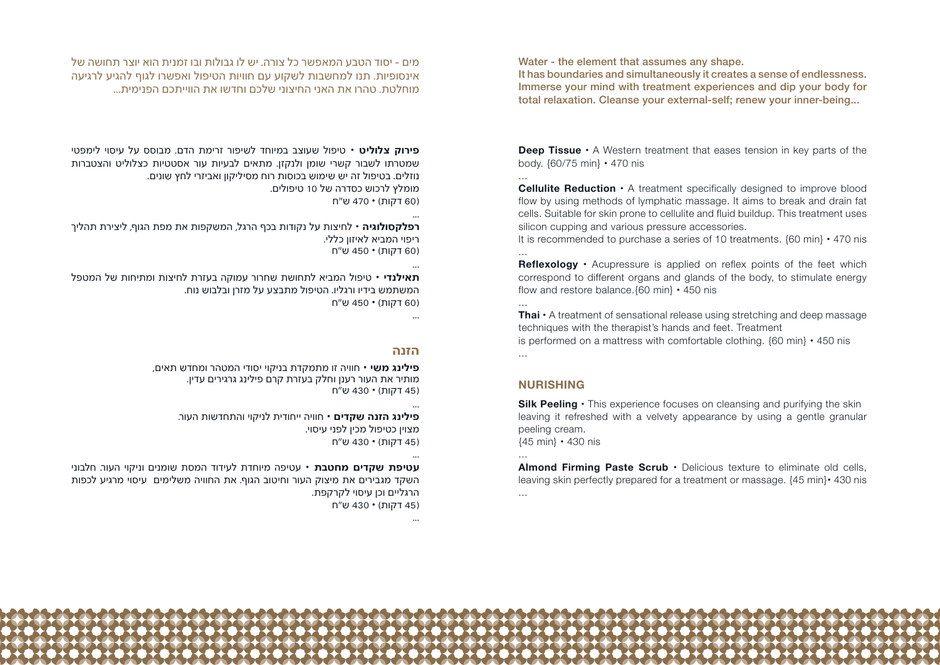מים - יסוד הטבע המאפשר כל צורה. יש לו גבולות ובו זמנית הוא יוצר תחושה של אינסופיות. תנו למחשבות לשקוע עם חוויות הטיפול ואפשרו לגוף להגיע לרגיעה מוחלטת. טהרו את האני החיצוני שלכם וחדשו את הווייתכם הפנימית...

**פירוק צלוליט •** טיפול שעוצב במיוחד לשיפור זרימת הדם. מבוסס על עיסוי לימפטי שמטרתו לשבור קשרי שומן ולנקזן. מתאים לבעיות עור אסטטיות כצלוליט והצטברות נוזלים. בטיפול זה יש שימוש בכוסות רוח מסיליקון ואביזרי לחץ שונים. מומלץ לרכוש כסדרה של 10 טיפולים. )60 דקות( **•** 470 ש״ח

**רפלקסולוגיה •** לחיצות על נקודות בכף הרגל, המשקפות את מפת הגוף, ליצירת תהליך ריפוי המביא לאיזון כללי. )60 דקות( **•** 450 ש״ח

... **תאילנדי •** טיפול המביא לתחושת שחרור עמוקה בעזרת לחיצות ומתיחות של המטפל המשתמש בידיו ורגליו. הטיפול מתבצע על מזרן ובלבוש נוח. )60 דקות( **•** 450 ש״ח

...

...

...

...

...

#### **הזנה**

**פילינג משי •** חוויה זו מתמקדת בניקוי יסודי המטהר ומחדש תאים, מותיר את העור רענן וחלק בעזרת קרם פילינג גרגירים עדין. )45 דקות( **•** 430 ש״ח

**פילינג הזנה שקדים •** חוויה ייחודית לניקוי והתחדשות העור. מצוין כטיפול מכין לפני עיסוי. )45 דקות( **•** 430 ש״ח

**עטיפת שקדים מחטבת •** עטיפה מיוחדת לעידוד המסת שומנים וניקוי העור. חלבוני השקד מגבירים את מיצוק העור וחיטוב הגוף. את החוויה משלימים עיסוי מרגיע לכפות הרגליים וכן עיסוי לקרקפת.

)45 דקות( **•** 430 ש״ח

Water - the element that assumes any shape.

It has boundaries and simultaneously it creates a sense of endlessness. Immerse your mind with treatment experiences and dip your body for total relaxation. Cleanse your external-self; renew your inner-being...

**Deep Tissue**  $\cdot$  A Western treatment that eases tension in key parts of the **body**  $\{60/75 \text{ min}\}\cdot 470 \text{ nis}$ 

**Cellulite Reduction**  $\cdot$  A treatment specifically designed to improve blood flow by using methods of lymphatic massage. It aims to break and drain fat cells. Suitable for skin prone to cellulite and fluid buildup. This treatment uses silicon cupping and various pressure accessories.

It is recommended to purchase a series of 10 treatments.  ${60 \text{ min}} \cdot 470 \text{ nis}$ 

**Reflexology** • Acupressure is applied on reflex points of the feet which correspond to different organs and glands of the body, to stimulate energy flow and restore balance. {60 min}  $\cdot$  450 nis

**Thai**  $\cdot$  A treatment of sensational release using stretching and deep massage techniques with the therapist's hands and feet. Treatment is performed on a mattress with comfortable clothing.  ${60 \text{ min}} \cdot 450 \text{ n}$ ...

# **NURISHING**

...

...

...

...

**Silk Peeling •** This experience focuses on cleansing and purifying the skin leaving it refreshed with a velvety appearance by using a gentle granular peeling cream.  ${45}$  min  $\cdot$  430 nis

Almond Firming Paste Scrub · Delicious texture to eliminate old cells, leaving skin perfectly prepared for a treatment or massage.  ${45 \text{ min}} \cdot 430 \text{ nis}$ ...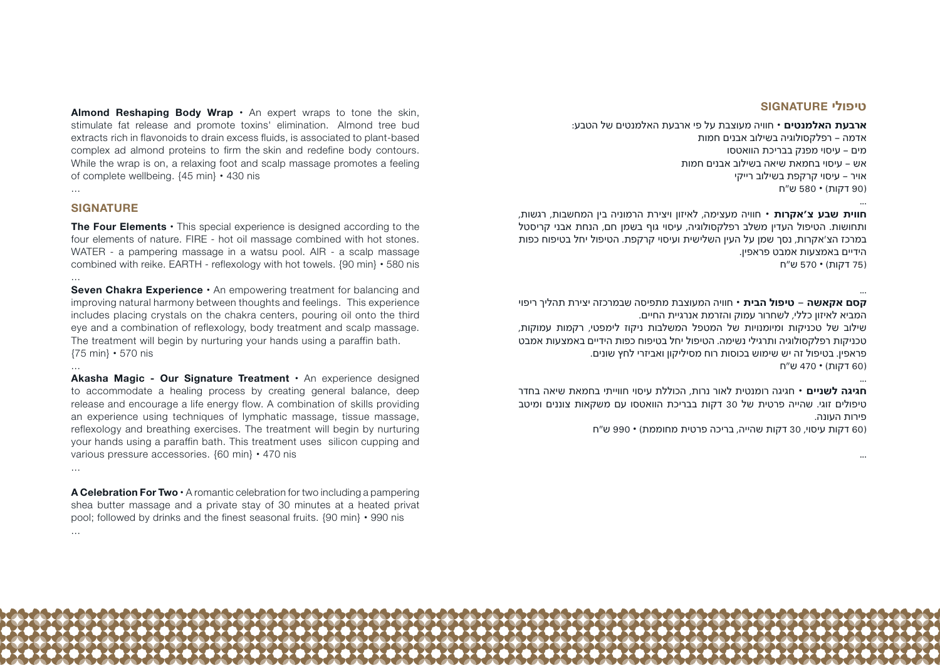Almond Reshaping Body Wrap  $\cdot$  An expert wraps to tone the skin, stimulate fat release and promote toxins' elimination. Almond tree bud extracts rich in flavonoids to drain excess fluids, is associated to plant-based complex ad almond proteins to firm the skin and redefine body contours. While the wrap is on, a relaxing foot and scalp massage promotes a feeling of complete wellbeing,  ${45 \text{ min}} \cdot 430 \text{ n}$ 

#### ...

...

...

#### **SIGNATURE**

**The Four Elements ·** This special experience is designed according to the four elements of nature. FIRE - hot oil massage combined with hot stones. WATER - a pampering massage in a watsu pool. AIR - a scalp massage combined with reike. EARTH - reflexology with hot towels.  $\{90 \text{ min}\}\cdot 580$  nis ...

**Seven Chakra Experience ·** An empowering treatment for balancing and improving natural harmony between thoughts and feelings. This experience includes placing crystals on the chakra centers, pouring oil onto the third eye and a combination of reflexology, body treatment and scalp massage. The treatment will begin by nurturing your hands using a paraffin bath.  ${75}$  min  $\cdot$  570 nis

**Akasha Magic - Our Signature Treatment ·** An experience designed to accommodate a healing process by creating general balance, deep release and encourage a life energy flow. A combination of skills providing an experience using techniques of lymphatic massage, tissue massage, reflexology and breathing exercises. The treatment will begin by nurturing your hands using a paraffin bath. This treatment uses silicon cupping and various pressure accessories.  ${60 \text{ min}} \cdot 470 \text{ n}$ 

**A Celebration For Two ·** A romantic celebration for two including a pampering shea butter massage and a private stay of 30 minutes at a heated privat pool: followed by drinks and the finest seasonal fruits, 190 min  $\cdot$  990 nis ...

### **טיפולי SIGNATURE**

...

...

**ארבעת האלמנטים •** חוויה מעוצבת על פי ארבעת האלמנטים של הטבע: אדמה – רפלקסולוגיה בשילוב אבנים חמות מים – עיסוי מפנק בבריכת הוואטסו אש – עיסוי בחמאת שיאה בשילוב אבנים חמות אויר – עיסוי קרקפת בשילוב רייקי )90 דקות( **•** 580 ש״ח

**חווית שבע צ'אקרות •** חוויה מעצימה, לאיזון ויצירת הרמוניה בין המחשבות, רגשות, ותחושות. הטיפול העדין משלב רפלקסולוגיה, עיסוי גוף בשמן חם, הנחת אבני קריסטל במרכז הצ'אקרות, נסך שמן על העין השלישית ועיסוי קרקפת. הטיפול יחל בטיפוח כפות הידיים באמצעות אמבט פראפין. )75 דקות( **•** 570 ש״ח

... **קסם אקאשה - טיפול הבית •** חוויה המעוצבת מתפיסה שבמרכזה יצירת תהליך ריפוי המביא לאיזון כללי, לשחרור עמוק והזרמת אנרגיית החיים. שילוב של טכניקות ומיומנויות של המטפל המשלבות ניקוז לימפטי, רקמות עמוקות, טכניקות רפלקסולוגיה ותרגילי נשימה. הטיפול יחל בטיפוח כפות הידיים באמצעות אמבט פראפין. בטיפול זה יש שימוש בכוסות רוח מסיליקון ואביזרי לחץ שונים. )60 דקות( **•** 470 ש״ח ...

**חגיגה לשניים •** חגיגה רומנטית לאור נרות, הכוללת עיסוי חווייתי בחמאת שיאה בחדר טיפולים זוגי. שהייה פרטית של 30 דקות בבריכת הוואטסו עם משקאות צוננים ומיטב פירות העונה.

)60 דקות עיסוי, 30 דקות שהייה, בריכה פרטית מחוממת( **•** 990 ש״ח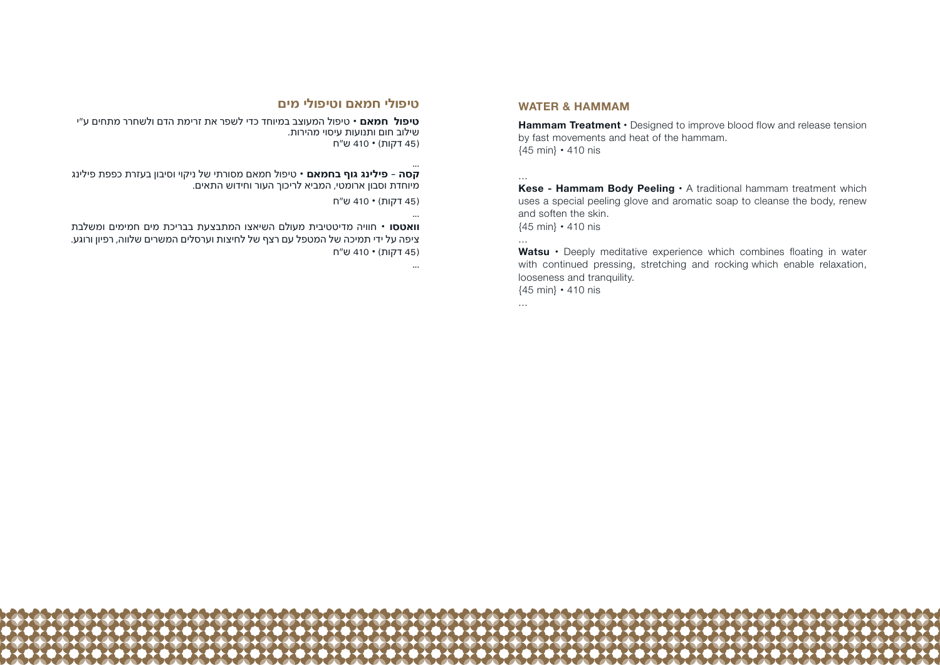# **טיפולי חמאם וטיפולי מים**

**טיפול חמאם •** טיפול המעוצב במיוחד כדי לשפר את זרימת הדם ולשחרר מתחים ע"י שילוב חום ותנועות עיסוי מהירות. )45 דקות( **•** 410 ש״ח

... **קסה - פילינג גוף בחמאם •** טיפול חמאם מסורתי של ניקוי וסיבון בעזרת כפפת פילינג מיוחדת וסבון ארומטי, המביא לריכוך העור וחידוש התאים.

)45 דקות( **•** 410 ש״ח

... **וואטסו •** חוויה מדיטטיבית מעולם השיאצו המתבצעת בבריכת מים חמימים ומשלבת ציפה על ידי תמיכה של המטפל עם רצף של לחיצות וערסלים המשרים שלווה, רפיון ורוגע. )45 דקות( **•** 410 ש״ח

...

#### **WATER & HAMMAM**

**Hammam Treatment**  $\cdot$  Designed to improve blood flow and release tension by fast movements and heat of the hammam.  ${45}$  min} **•** 410 nis

Kese - Hammam Body Peeling  $\cdot$  A traditional hammam treatment which uses a special peeling glove and aromatic soap to cleanse the body, renew and soften the skin.

 ${45}$  min} **•** 410 nis

**Watsu** • Deeply meditative experience which combines floating in water with continued pressing, stretching and rocking which enable relaxation, looseness and tranquility.  ${45}$  min} **•** 410 nis

...

...

...